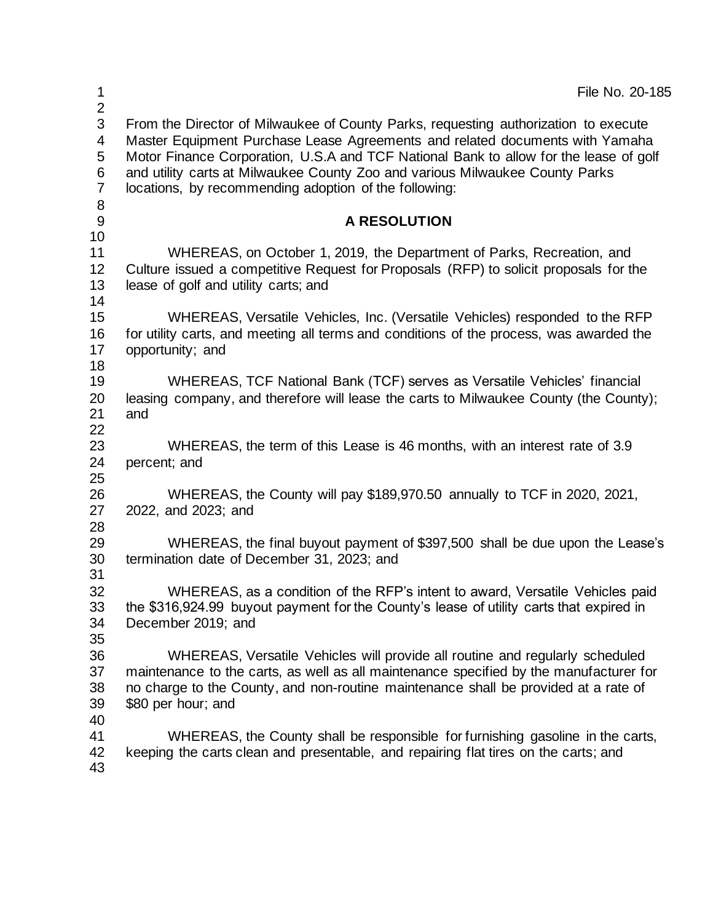| $\mathbf 1$<br>$\overline{2}$                 | File No. 20-185                                                                                                                                                                                                                                                                                                                                                                                       |
|-----------------------------------------------|-------------------------------------------------------------------------------------------------------------------------------------------------------------------------------------------------------------------------------------------------------------------------------------------------------------------------------------------------------------------------------------------------------|
| 3<br>4<br>5<br>6<br>$\overline{7}$<br>$\bf 8$ | From the Director of Milwaukee of County Parks, requesting authorization to execute<br>Master Equipment Purchase Lease Agreements and related documents with Yamaha<br>Motor Finance Corporation, U.S.A and TCF National Bank to allow for the lease of golf<br>and utility carts at Milwaukee County Zoo and various Milwaukee County Parks<br>locations, by recommending adoption of the following: |
| $9\,$                                         | <b>A RESOLUTION</b>                                                                                                                                                                                                                                                                                                                                                                                   |
| 10                                            |                                                                                                                                                                                                                                                                                                                                                                                                       |
| 11<br>12<br>13<br>14                          | WHEREAS, on October 1, 2019, the Department of Parks, Recreation, and<br>Culture issued a competitive Request for Proposals (RFP) to solicit proposals for the<br>lease of golf and utility carts; and                                                                                                                                                                                                |
| 15<br>16<br>17                                | WHEREAS, Versatile Vehicles, Inc. (Versatile Vehicles) responded to the RFP<br>for utility carts, and meeting all terms and conditions of the process, was awarded the<br>opportunity; and                                                                                                                                                                                                            |
| 18                                            |                                                                                                                                                                                                                                                                                                                                                                                                       |
| 19<br>20<br>21<br>22                          | WHEREAS, TCF National Bank (TCF) serves as Versatile Vehicles' financial<br>leasing company, and therefore will lease the carts to Milwaukee County (the County);<br>and                                                                                                                                                                                                                              |
| 23<br>24                                      | WHEREAS, the term of this Lease is 46 months, with an interest rate of 3.9<br>percent; and                                                                                                                                                                                                                                                                                                            |
| 25<br>26<br>27<br>28                          | WHEREAS, the County will pay \$189,970.50 annually to TCF in 2020, 2021,<br>2022, and 2023; and                                                                                                                                                                                                                                                                                                       |
| 29<br>30<br>31                                | WHEREAS, the final buyout payment of \$397,500 shall be due upon the Lease's<br>termination date of December 31, 2023; and                                                                                                                                                                                                                                                                            |
| 32<br>33<br>34<br>35                          | WHEREAS, as a condition of the RFP's intent to award, Versatile Vehicles paid<br>the \$316,924.99 buyout payment for the County's lease of utility carts that expired in<br>December 2019; and                                                                                                                                                                                                        |
| 36<br>37<br>38<br>39                          | WHEREAS, Versatile Vehicles will provide all routine and regularly scheduled<br>maintenance to the carts, as well as all maintenance specified by the manufacturer for<br>no charge to the County, and non-routine maintenance shall be provided at a rate of<br>\$80 per hour; and                                                                                                                   |
| 40<br>41<br>42<br>43                          | WHEREAS, the County shall be responsible for furnishing gasoline in the carts,<br>keeping the carts clean and presentable, and repairing flat tires on the carts; and                                                                                                                                                                                                                                 |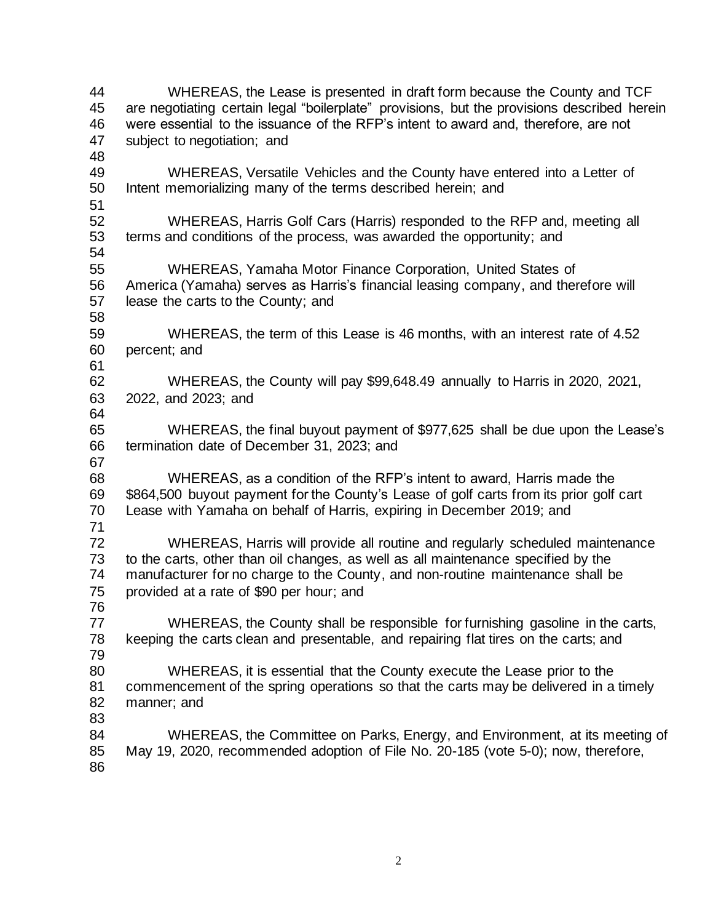WHEREAS, the Lease is presented in draft form because the County and TCF are negotiating certain legal "boilerplate" provisions, but the provisions described herein were essential to the issuance of the RFP's intent to award and, therefore, are not subject to negotiation; and WHEREAS, Versatile Vehicles and the County have entered into a Letter of Intent memorializing many of the terms described herein; and WHEREAS, Harris Golf Cars (Harris) responded to the RFP and, meeting all terms and conditions of the process, was awarded the opportunity; and WHEREAS, Yamaha Motor Finance Corporation, United States of America (Yamaha) serves as Harris's financial leasing company, and therefore will lease the carts to the County; and WHEREAS, the term of this Lease is 46 months, with an interest rate of 4.52 percent; and WHEREAS, the County will pay \$99,648.49 annually to Harris in 2020, 2021, 2022, and 2023; and WHEREAS, the final buyout payment of \$977,625 shall be due upon the Lease's termination date of December 31, 2023; and WHEREAS, as a condition of the RFP's intent to award, Harris made the \$864,500 buyout payment for the County's Lease of golf carts from its prior golf cart Lease with Yamaha on behalf of Harris, expiring in December 2019; and WHEREAS, Harris will provide all routine and regularly scheduled maintenance to the carts, other than oil changes, as well as all maintenance specified by the manufacturer for no charge to the County, and non-routine maintenance shall be provided at a rate of \$90 per hour; and WHEREAS, the County shall be responsible for furnishing gasoline in the carts, keeping the carts clean and presentable, and repairing flat tires on the carts; and WHEREAS, it is essential that the County execute the Lease prior to the commencement of the spring operations so that the carts may be delivered in a timely manner; and WHEREAS, the Committee on Parks, Energy, and Environment, at its meeting of May 19, 2020, recommended adoption of File No. 20-185 (vote 5-0); now, therefore,